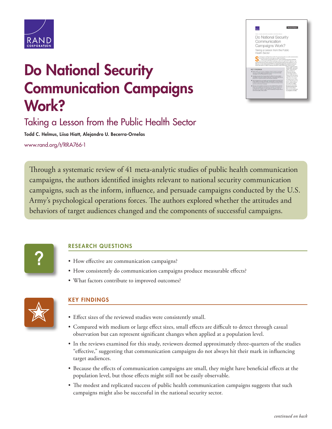

# Do National Security Communication Campaigns Work?



## Taking a Lesson from the Public Health Sector

Todd C. Helmus, Liisa Hiatt, Alejandro U. Becerra-Ornelas

[www.rand.org/t/RRA766-1](http://www.rand.org/t/RRA766-1)

Through a systematic review of 41 meta-analytic studies of public health communication campaigns, the authors identified insights relevant to national security communication campaigns, such as the inform, influence, and persuade campaigns conducted by the U.S. Army's psychological operations forces. The authors explored whether the attitudes and behaviors of target audiences changed and the components of successful campaigns.



### RESEARCH QUESTIONS

- How effective are communication campaigns?
- How consistently do communication campaigns produce measurable effects?
- What factors contribute to improved outcomes?



### KEY FINDINGS

- Effect sizes of the reviewed studies were consistently small.
- Compared with medium or large effect sizes, small effects are difficult to detect through casual observation but can represent significant changes when applied at a population level.
- In the reviews examined for this study, reviewers deemed approximately three-quarters of the studies "effective," suggesting that communication campaigns do not always hit their mark in influencing target audiences.
- Because the effects of communication campaigns are small, they might have beneficial effects at the population level, but those effects might still not be easily observable.
- The modest and replicated success of public health communication campaigns suggests that such campaigns might also be successful in the national security sector.